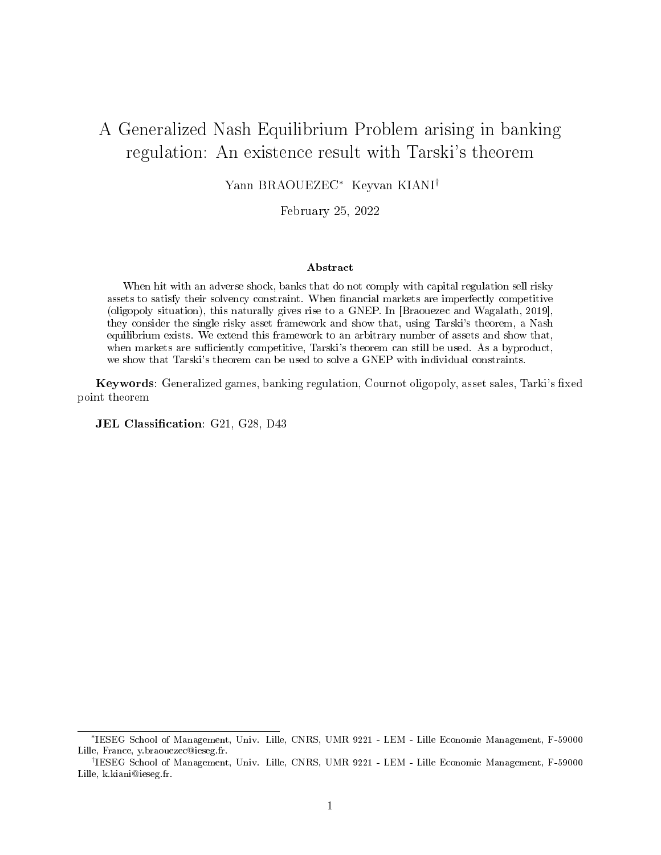# A Generalized Nash Equilibrium Problem arising in banking regulation: An existence result with Tarski's theorem

Yann BRAOUEZEC<sup>∗</sup> Keyvan KIANI†

February 25, 2022

#### Abstract

When hit with an adverse shock, banks that do not comply with capital regulation sell risky assets to satisfy their solvency constraint. When financial markets are imperfectly competitive (oligopoly situation), this naturally gives rise to a GNEP. In [Braouezec and Wagalath, 2019], they consider the single risky asset framework and show that, using Tarski's theorem, a Nash equilibrium exists. We extend this framework to an arbitrary number of assets and show that, when markets are sufficiently competitive, Tarski's theorem can still be used. As a byproduct, we show that Tarski's theorem can be used to solve a GNEP with individual constraints.

**Keywords**: Generalized games, banking regulation, Cournot oligopoly, asset sales, Tarki's fixed point theorem

JEL Classification: G21, G28, D43

<sup>∗</sup> IESEG School of Management, Univ. Lille, CNRS, UMR 9221 - LEM - Lille Economie Management, F-59000 Lille, France, y.braouezec@ieseg.fr.

<sup>†</sup> IESEG School of Management, Univ. Lille, CNRS, UMR 9221 - LEM - Lille Economie Management, F-59000 Lille, k.kiani@ieseg.fr.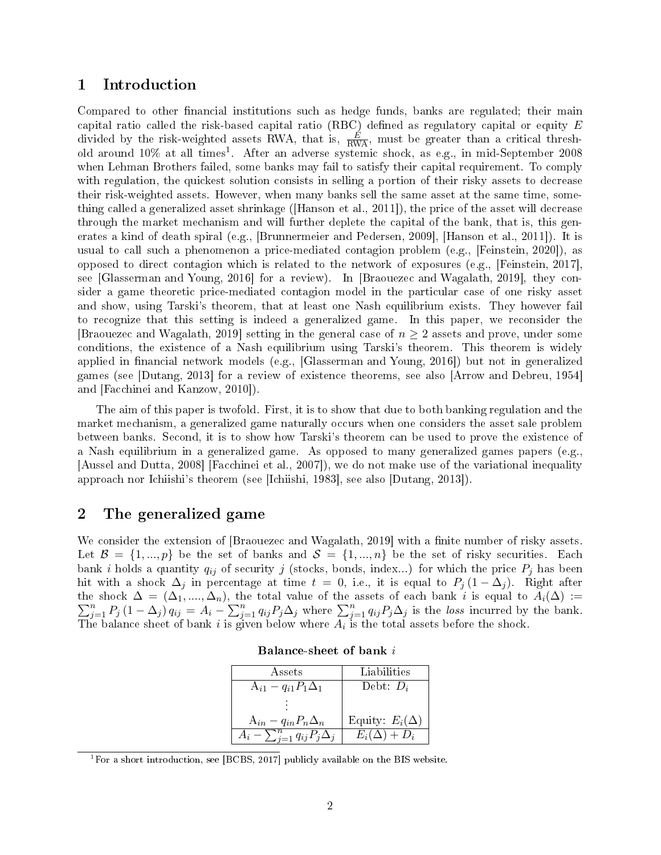# 1 Introduction

Compared to other financial institutions such as hedge funds, banks are regulated; their main capital ratio called the risk-based capital ratio (RBC) defined as regulatory capital or equity  $E$ divided by the risk-weighted assets RWA, that is,  $\frac{E}{RWA}$ , must be greater than a critical threshold around 10% at all times<sup>1</sup>. After an adverse systemic shock, as e.g., in mid-September 2008 when Lehman Brothers failed, some banks may fail to satisfy their capital requirement. To comply with regulation, the quickest solution consists in selling a portion of their risky assets to decrease their risk-weighted assets. However, when many banks sell the same asset at the same time, something called a generalized asset shrinkage ([Hanson et al., 2011]), the price of the asset will decrease through the market mechanism and will further deplete the capital of the bank, that is, this generates a kind of death spiral (e.g., [Brunnermeier and Pedersen, 2009], [Hanson et al., 2011]). It is usual to call such a phenomenon a price-mediated contagion problem (e.g., [Feinstein, 2020]), as opposed to direct contagion which is related to the network of exposures (e.g., [Feinstein, 2017], see [Glasserman and Young, 2016] for a review). In [Braouezec and Wagalath, 2019], they consider a game theoretic price-mediated contagion model in the particular case of one risky asset and show, using Tarski's theorem, that at least one Nash equilibrium exists. They however fail to recognize that this setting is indeed a generalized game. In this paper, we reconsider the [Braouezec and Wagalath, 2019] setting in the general case of  $n \geq 2$  assets and prove, under some conditions, the existence of a Nash equilibrium using Tarski's theorem. This theorem is widely applied in financial network models (e.g., [Glasserman and Young,  $2016$ ]) but not in generalized games (see [Dutang, 2013] for a review of existence theorems, see also [Arrow and Debreu, 1954] and [Facchinei and Kanzow, 2010]).

The aim of this paper is twofold. First, it is to show that due to both banking regulation and the market mechanism, a generalized game naturally occurs when one considers the asset sale problem between banks. Second, it is to show how Tarski's theorem can be used to prove the existence of a Nash equilibrium in a generalized game. As opposed to many generalized games papers (e.g., [Aussel and Dutta, 2008] [Facchinei et al., 2007]), we do not make use of the variational inequality approach nor Ichiishi's theorem (see [Ichiishi, 1983], see also [Dutang, 2013]).

# 2 The generalized game

We consider the extension of *Braouezec and Wagalath, 2019* with a finite number of risky assets. Let  $\mathcal{B} = \{1, ..., p\}$  be the set of banks and  $\mathcal{S} = \{1, ..., n\}$  be the set of risky securities. Each bank i holds a quantity  $q_{ij}$  of security j (stocks, bonds, index...) for which the price  $P_j$  has been hit with a shock  $\Delta_i$  in percentage at time  $t = 0$ , i.e., it is equal to  $P_i(1 - \Delta_i)$ . Right after the shock  $\sum$ e shock  $\Delta = (\Delta_1, ..., \Delta_n)$ , the total value of the assets of each bank *i* is equal to  $A_i(\Delta) :=$ <br> $\sum_{j=1}^n P_j (1 - \Delta_j) q_{ij} = A_i - \sum_{j=1}^n q_{ij} P_j \Delta_j$  where  $\sum_{j=1}^n q_{ij} P_j \Delta_j$  is the *loss* incurred by the bank. The balance sheet of bank i is given below where  $A_i$  is the total assets before the shock.

| Assets                                   | Liabilities           |
|------------------------------------------|-----------------------|
| $A_{i1} - q_{i1}P_1\Delta_1$             | Debt: $D_i$           |
|                                          |                       |
| $A_{in} - q_{in} P_n \Delta_n$           | Equity: $E_i(\Delta)$ |
| $\sqrt{-\sum_{i=1}^n q_{ij}P_j\Delta_j}$ | $E_i(\Delta)+D_i$     |

Balance-sheet of bank i

 $^1$ For a short introduction, see [BCBS, 2017] publicly available on the BIS website.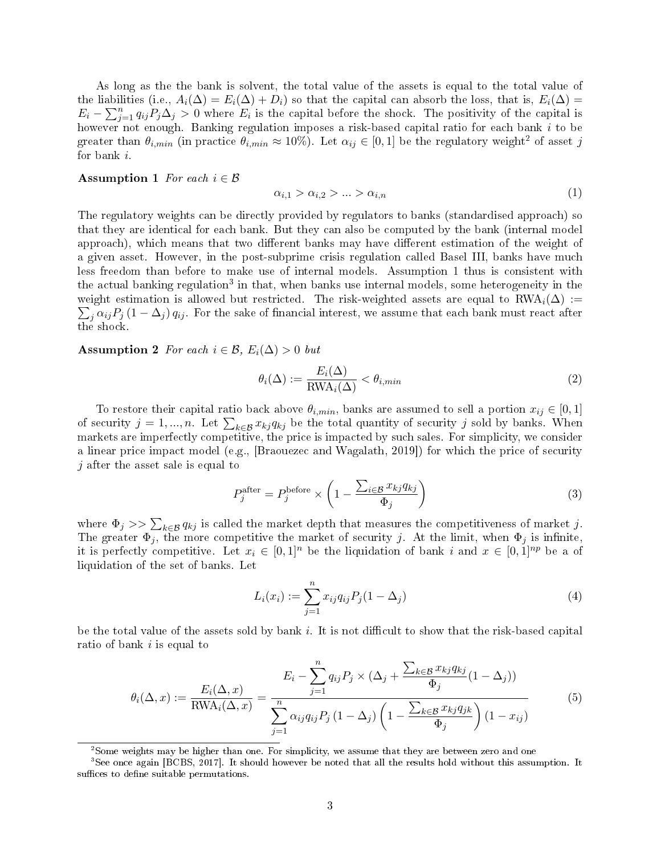As long as the the bank is solvent, the total value of the assets is equal to the total value of the liabilities (i.e.,  $A_i(\Delta) = E_i(\Delta) + D_i$ ) so that the capital can absorb the loss, that is,  $E_i(\Delta) =$  $E_i - \sum_{j=1}^n q_{ij} P_j \Delta_j > 0$  where  $E_i$  is the capital before the shock. The positivity of the capital is however not enough. Banking regulation imposes a risk-based capital ratio for each bank  $i$  to be greater than  $\theta_{i,min}$  (in practice  $\theta_{i,min} \approx 10\%$ ). Let  $\alpha_{ij} \in [0,1]$  be the regulatory weight<sup>2</sup> of asset j for bank i.

#### Assumption 1 For each  $i \in \mathcal{B}$

$$
\alpha_{i,1} > \alpha_{i,2} > \dots > \alpha_{i,n} \tag{1}
$$

The regulatory weights can be directly provided by regulators to banks (standardised approach) so that they are identical for each bank. But they can also be computed by the bank (internal model approach), which means that two different banks may have different estimation of the weight of a given asset. However, in the post-subprime crisis regulation called Basel III, banks have much less freedom than before to make use of internal models. Assumption 1 thus is consistent with the actual banking regulation<sup>3</sup> in that, when banks use internal models, some heterogeneity in the weight estimation is allowed but restricted. The risk-weighted assets are equal to  $\text{RWA}_i(\Delta) :=$  $\sum_j \alpha_{ij} P_j \left(1-\Delta_j\right) q_{ij}$ . For the sake of financial interest, we assume that each bank must react after the shock.

Assumption 2 For each  $i \in \mathcal{B}$ ,  $E_i(\Delta) > 0$  but

$$
\theta_i(\Delta) := \frac{E_i(\Delta)}{\text{RWA}_i(\Delta)} < \theta_{i,min} \tag{2}
$$

To restore their capital ratio back above  $\theta_{i,min}$ , banks are assumed to sell a portion  $x_{ij} \in [0,1]$ of security  $j = 1, ..., n$ . Let  $\sum_{k \in \mathcal{B}} x_{kj} q_{kj}$  be the total quantity of security j sold by banks. When markets are imperfectly competitive, the price is impacted by such sales. For simplicity, we consider a linear price impact model (e.g., [Braouezec and Wagalath, 2019]) for which the price of security j after the asset sale is equal to

$$
P_j^{\text{after}} = P_j^{\text{before}} \times \left(1 - \frac{\sum_{i \in \mathcal{B}} x_{kj} q_{kj}}{\Phi_j}\right) \tag{3}
$$

where  $\Phi_j >> \sum_{k \in \mathcal{B}} q_{kj}$  is called the market depth that measures the competitiveness of market j. The greater  $\Phi_j$ , the more competitive the market of security j. At the limit, when  $\Phi_j$  is infinite, it is perfectly competitive. Let  $x_i \in [0,1]^n$  be the liquidation of bank i and  $x \in [0,1]^{np}$  be a of liquidation of the set of banks. Let

$$
L_i(x_i) := \sum_{j=1}^n x_{ij} q_{ij} P_j (1 - \Delta_j)
$$
\n(4)

be the total value of the assets sold by bank i. It is not difficult to show that the risk-based capital ratio of bank i is equal to

$$
\theta_i(\Delta, x) := \frac{E_i(\Delta, x)}{\text{RWA}_i(\Delta, x)} = \frac{E_i - \sum_{j=1}^n q_{ij} P_j \times (\Delta_j + \frac{\sum_{k \in \mathcal{B}} x_{kj} q_{kj}}{\Phi_j} (1 - \Delta_j))}{\sum_{j=1}^n \alpha_{ij} q_{ij} P_j (1 - \Delta_j) \left(1 - \frac{\sum_{k \in \mathcal{B}} x_{kj} q_{jk}}{\Phi_j}\right) (1 - x_{ij})}
$$
(5)

<sup>2</sup>Some weights may be higher than one. For simplicity, we assume that they are between zero and one

<sup>3</sup>See once again [BCBS, 2017]. It should however be noted that all the results hold without this assumption. It suffices to define suitable permutations.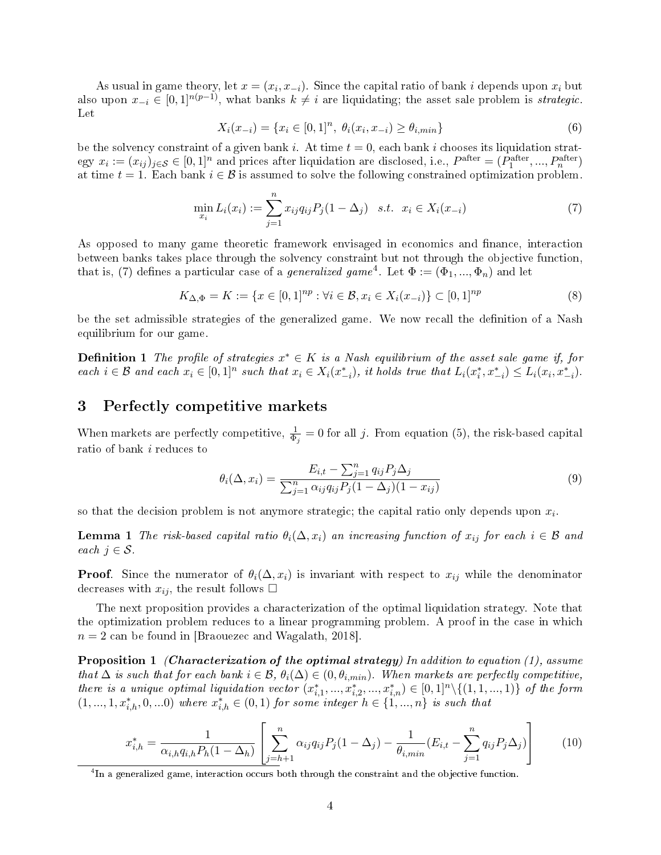As usual in game theory, let  $x = (x_i, x_{-i})$ . Since the capital ratio of bank i depends upon  $x_i$  but also upon  $x_{-i} \in [0,1]^{n(p-1)}$ , what banks  $k \neq i$  are liquidating; the asset sale problem is *strategic*. Let

$$
X_i(x_{-i}) = \{x_i \in [0,1]^n, \ \theta_i(x_i, x_{-i}) \ge \theta_{i,min}\}\tag{6}
$$

be the solvency constraint of a given bank i. At time  $t = 0$ , each bank i chooses its liquidation strategy  $x_i := (x_{ij})_{j \in \mathcal{S}} \in [0,1]^n$  and prices after liquidation are disclosed, i.e.,  $P^{\text{after}} = (P_1^{\text{after}},...,P_n^{\text{after}})$ at time  $t = 1$ . Each bank  $i \in \mathcal{B}$  is assumed to solve the following constrained optimization problem.

$$
\min_{x_i} L_i(x_i) := \sum_{j=1}^n x_{ij} q_{ij} P_j (1 - \Delta_j) \quad s.t. \quad x_i \in X_i(x_{-i})
$$
\n(7)

As opposed to many game theoretic framework envisaged in economics and finance, interaction between banks takes place through the solvency constraint but not through the objective function, that is, (7) defines a particular case of a *generalized game*<sup>4</sup>. Let  $\Phi := (\Phi_1, ..., \Phi_n)$  and let

$$
K_{\Delta, \Phi} = K := \{ x \in [0, 1]^{np} : \forall i \in \mathcal{B}, x_i \in X_i(x_{-i}) \} \subset [0, 1]^{np}
$$
\n(8)

be the set admissible strategies of the generalized game. We now recall the definition of a Nash equilibrium for our game.

**Definition 1** The profile of strategies  $x^* \in K$  is a Nash equilibrium of the asset sale game if, for  $\text{each } i \in \mathcal{B} \text{ and each } x_i \in [0,1]^n \text{ such that } x_i \in X_i(x_{-i}^*), \text{ it holds true that } L_i(x_i^*, x_{-i}^*) \leq L_i(x_i, x_{-i}^*)$ .

## 3 Perfectly competitive markets

When markets are perfectly competitive,  $\frac{1}{\Phi_j} = 0$  for all j. From equation (5), the risk-based capital ratio of bank i reduces to

$$
\theta_i(\Delta, x_i) = \frac{E_{i,t} - \sum_{j=1}^n q_{ij} P_j \Delta_j}{\sum_{j=1}^n \alpha_{ij} q_{ij} P_j (1 - \Delta_j)(1 - x_{ij})}
$$
(9)

so that the decision problem is not anymore strategic; the capital ratio only depends upon  $x_i$ .

**Lemma 1** The risk-based capital ratio  $\theta_i(\Delta, x_i)$  an increasing function of  $x_{ij}$  for each  $i \in \mathcal{B}$  and each  $j \in \mathcal{S}$ .

**Proof.** Since the numerator of  $\theta_i(\Delta, x_i)$  is invariant with respect to  $x_{ij}$  while the denominator decreases with  $x_{ij}$ , the result follows  $\square$ 

The next proposition provides a characterization of the optimal liquidation strategy. Note that the optimization problem reduces to a linear programming problem. A proof in the case in which  $n = 2$  can be found in [Braouezec and Wagalath, 2018].

**Proposition 1** (Characterization of the optimal strategy) In addition to equation (1), assume that  $\Delta$  is such that for each bank  $i \in \mathcal{B}$ ,  $\theta_i(\Delta) \in (0, \theta_{i,min})$ . When markets are perfectly competitive, there is a unique optimal liquidation vector  $(x_{i,1}^*,...,x_{i,2}^*,...,x_{i,n}^*) \in [0,1]^n \setminus \{(1,1,...,1)\}$  of the form  $(1, ..., 1, x_{i,h}^*, 0, ...0)$  where  $x_{i,h}^* \in (0, 1)$  for some integer  $h \in \{1, ..., n\}$  is such that

$$
x_{i,h}^* = \frac{1}{\alpha_{i,h} q_{i,h} P_h (1 - \Delta_h)} \left[ \sum_{j=h+1}^n \alpha_{ij} q_{ij} P_j (1 - \Delta_j) - \frac{1}{\theta_{i,min}} (E_{i,t} - \sum_{j=1}^n q_{ij} P_j \Delta_j) \right]
$$
(10)

 ${}^{4}$ In a generalized game, interaction occurs both through the constraint and the objective function.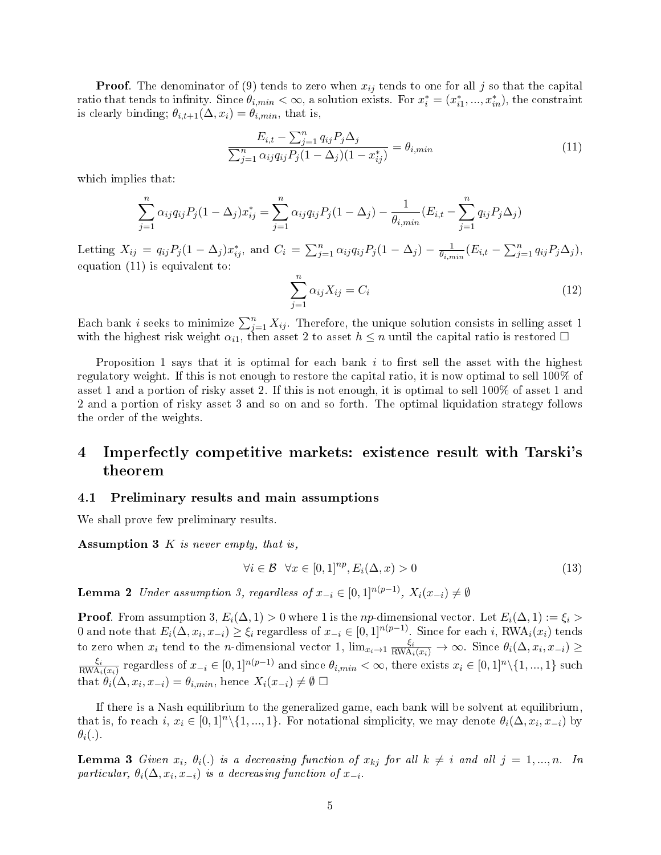**Proof**. The denominator of (9) tends to zero when  $x_{ij}$  tends to one for all j so that the capital ratio that tends to infinity. Since  $\theta_{i,min} < \infty$ , a solution exists. For  $x_i^* = (x_{i1}^*,...,x_{in}^*)$ , the constraint is clearly binding;  $\theta_{i,t+1}(\Delta, x_i) = \theta_{i,min}$ , that is,

$$
\frac{E_{i,t} - \sum_{j=1}^{n} q_{ij} P_j \Delta_j}{\sum_{j=1}^{n} \alpha_{ij} q_{ij} P_j (1 - \Delta_j)(1 - x_{ij}^*)} = \theta_{i,min}
$$
\n(11)

which implies that:

$$
\sum_{j=1}^{n} \alpha_{ij} q_{ij} P_j (1 - \Delta_j) x_{ij}^* = \sum_{j=1}^{n} \alpha_{ij} q_{ij} P_j (1 - \Delta_j) - \frac{1}{\theta_{i,min}} (E_{i,t} - \sum_{j=1}^{n} q_{ij} P_j \Delta_j)
$$

Letting  $X_{ij} = q_{ij}P_j(1-\Delta_j)x_{ij}^*$ , and  $C_i = \sum_{j=1}^n \alpha_{ij}q_{ij}P_j(1-\Delta_j) - \frac{1}{\theta_{i,n}}$  $\frac{1}{\theta_{i,min}}(E_{i,t}-\sum_{j=1}^n q_{ij}P_j\Delta_j),$ equation (11) is equivalent to:

$$
\sum_{j=1}^{n} \alpha_{ij} X_{ij} = C_i \tag{12}
$$

Each bank *i* seeks to minimize  $\sum_{j=1}^{n} X_{ij}$ . Therefore, the unique solution consists in selling asset 1 with the highest risk weight  $\alpha_{i1}$ , then asset 2 to asset  $h \leq n$  until the capital ratio is restored  $\Box$ 

Proposition 1 says that it is optimal for each bank  $i$  to first sell the asset with the highest regulatory weight. If this is not enough to restore the capital ratio, it is now optimal to sell 100% of asset 1 and a portion of risky asset 2. If this is not enough, it is optimal to sell 100% of asset 1 and 2 and a portion of risky asset 3 and so on and so forth. The optimal liquidation strategy follows the order of the weights.

# 4 Imperfectly competitive markets: existence result with Tarski's theorem

#### 4.1 Preliminary results and main assumptions

We shall prove few preliminary results.

Assumption 3  $K$  is never empty, that is,

$$
\forall i \in \mathcal{B} \quad \forall x \in [0, 1]^{np}, E_i(\Delta, x) > 0 \tag{13}
$$

**Lemma 2** Under assumption 3, regardless of  $x_{-i} \in [0,1]^{n(p-1)}$ ,  $X_i(x_{-i}) \neq \emptyset$ 

**Proof.** From assumption 3,  $E_i(\Delta, 1) > 0$  where 1 is the np-dimensional vector. Let  $E_i(\Delta, 1) := \xi_i > 0$ 0 and note that  $E_i(\Delta,x_i,x_{-i})\geq \xi_i$  regardless of  $x_{-i}\in [0,1]^{n(p-1)}$ . Since for each  $i, \, \text{RWA}_i(x_i)$  tends to zero when  $x_i$  tend to the *n*-dimensional vector 1,  $\lim_{x_i \to 1} \frac{\xi_i}{RWA_i(x_i)} \to \infty$ . Since  $\theta_i(\Delta, x_i, x_{-i}) \ge$  $\xi_i$  $\frac{\xi_i}{\text{RWA}_i(x_i)}$  regardless of  $x_{-i} \in [0,1]^{n(p-1)}$  and since  $\theta_{i,min} < \infty$ , there exists  $x_i \in [0,1]^n \setminus \{1, ..., 1\}$  such that  $\theta_i(\Delta, x_i, x_{-i}) = \theta_{i,min}$ , hence  $X_i(x_{-i}) \neq \emptyset$ 

If there is a Nash equilibrium to the generalized game, each bank will be solvent at equilibrium, that is, fo reach  $i, x_i \in [0,1]^n \setminus \{1, ..., 1\}$ . For notational simplicity, we may denote  $\theta_i(\Delta, x_i, x_{-i})$  by  $\theta_i(.)$ .

**Lemma 3** Given  $x_i$ ,  $\theta_i(.)$  is a decreasing function of  $x_{kj}$  for all  $k \neq i$  and all  $j = 1, ..., n$ . In particular,  $\theta_i(\Delta, x_i, x_{-i})$  is a decreasing function of  $x_{-i}$ .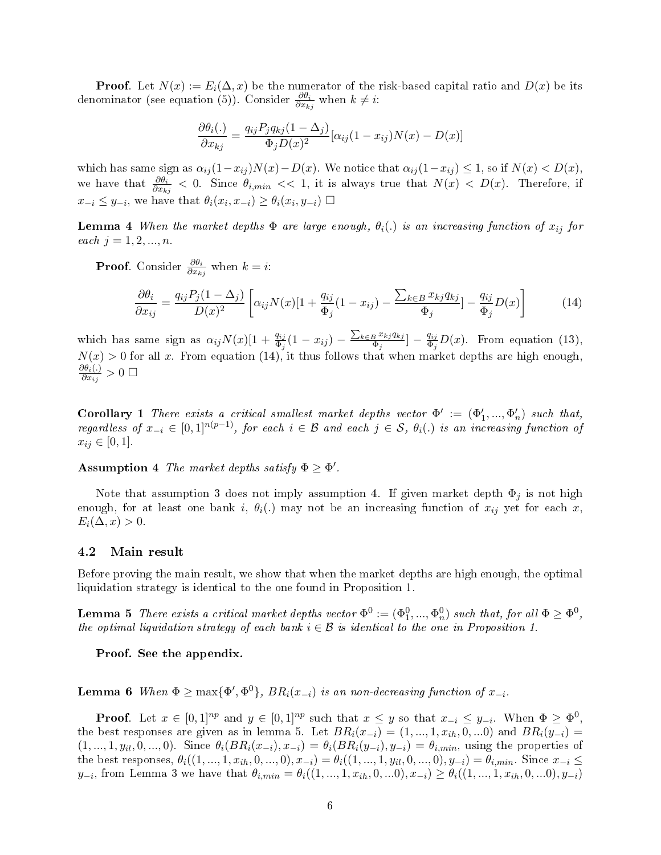**Proof.** Let  $N(x) := E_i(\Delta, x)$  be the numerator of the risk-based capital ratio and  $D(x)$  be its denominator (see equation (5)). Consider  $\frac{\partial \theta_i}{\partial x_{kj}}$  when  $k \neq i$ :

$$
\frac{\partial \theta_i(.)}{\partial x_{kj}} = \frac{q_{ij} P_j q_{kj} (1 - \Delta_j)}{\Phi_j D(x)^2} [\alpha_{ij} (1 - x_{ij}) N(x) - D(x)]
$$

which has same sign as  $\alpha_{ij} (1-x_{ij})N(x)-D(x)$ . We notice that  $\alpha_{ij} (1-x_{ij}) \leq 1$ , so if  $N(x) < D(x)$ , we have that  $\frac{\partial \theta_i}{\partial x_{kj}} < 0$ . Since  $\theta_{i,min} << 1$ , it is always true that  $N(x) < D(x)$ . Therefore, if  $x_{-i} \leq y_{-i}$ , we have that  $\theta_i(x_i, x_{-i}) \geq \theta_i(x_i, y_{-i}) \ \Box$ 

**Lemma 4** When the market depths  $\Phi$  are large enough,  $\theta_i(.)$  is an increasing function of  $x_{ij}$  for each  $j = 1, 2, ..., n$ .

**Proof**. Consider  $\frac{\partial \theta_i}{\partial x_{kj}}$  when  $k = i$ :

$$
\frac{\partial \theta_i}{\partial x_{ij}} = \frac{q_{ij} P_j (1 - \Delta_j)}{D(x)^2} \left[ \alpha_{ij} N(x) [1 + \frac{q_{ij}}{\Phi_j} (1 - x_{ij}) - \frac{\sum_{k \in B} x_{kj} q_{kj}}{\Phi_j}] - \frac{q_{ij}}{\Phi_j} D(x) \right]
$$
(14)

which has same sign as  $\alpha_{ij}N(x)[1+\frac{q_{ij}}{\Phi_j}(1-x_{ij})-\frac{\sum_{k\in B}x_{kj}q_{kj}}{\Phi_j}]$  $\frac{1}{\Phi_j} \frac{x_{kj} q_{kj}}{\Phi_j}$  -  $\frac{q_{ij}}{\Phi_j}$  $\frac{q_{ij}}{\Phi_j}D(x)$ . From equation (13),  $N(x) > 0$  for all x. From equation (14), it thus follows that when market depths are high enough,  $\partial \theta_i(.)$  $\frac{\partial \theta_i(.)}{\partial x_{ij}}>0$   $\Box$ 

**Corollary** 1 There exists a critical smallest market depths vector  $\Phi' := (\Phi'_1, ..., \Phi'_n)$  such that, regardless of  $x_{-i} \in [0,1]^{n(p-1)}$ , for each  $i \in \mathcal{B}$  and each  $j \in \mathcal{S}$ ,  $\theta_i(.)$  is an increasing function of  $x_{ij} \in [0, 1].$ 

Assumption 4 The market depths satisfy  $\Phi \geq \Phi'$ .

Note that assumption 3 does not imply assumption 4. If given market depth  $\Phi_j$  is not high enough, for at least one bank i,  $\theta_i(.)$  may not be an increasing function of  $x_{ij}$  yet for each  $x_i$  $E_i(\Delta, x) > 0.$ 

#### 4.2 Main result

Before proving the main result, we show that when the market depths are high enough, the optimal liquidation strategy is identical to the one found in Proposition 1.

**Lemma 5** There exists a critical market depths vector  $\Phi^0 := (\Phi_1^0, ..., \Phi_n^0)$  such that, for all  $\Phi \geq \Phi^0$ , the optimal liquidation strategy of each bank  $i \in \mathcal{B}$  is identical to the one in Proposition 1.

Proof. See the appendix.

**Lemma 6** When  $\Phi \ge \max{\{\Phi', \Phi^0\}}$ ,  $BR_i(x_{-i})$  is an non-decreasing function of  $x_{-i}$ .

**Proof**. Let  $x \in [0,1]^{np}$  and  $y \in [0,1]^{np}$  such that  $x \leq y$  so that  $x_{-i} \leq y_{-i}$ . When  $\Phi \geq \Phi^0$ , the best responses are given as in lemma 5. Let  $BR_i(x_{-i}) = (1, ..., 1, x_{ih}, 0, ...0)$  and  $BR_i(y_{-i}) =$  $(1, ..., 1, y_{il}, 0, ..., 0)$ . Since  $\theta_i(BR_i(x_{-i}), x_{-i}) = \theta_i(BR_i(y_{-i}), y_{-i}) = \theta_{i,min}$ , using the properties of the best responses,  $\theta_i((1, ..., 1, x_{ih}, 0, ..., 0), x_{-i}) = \theta_i((1, ..., 1, y_{il}, 0, ..., 0), y_{-i}) = \theta_{i,min}$ . Since  $x_{-i} \leq$  $y_{-i}$ , from Lemma 3 we have that  $\theta_{i,min} = \theta_i((1, ..., 1, x_{ih}, 0, ...0), x_{-i}) \ge \theta_i((1, ..., 1, x_{ih}, 0, ...0), y_{-i})$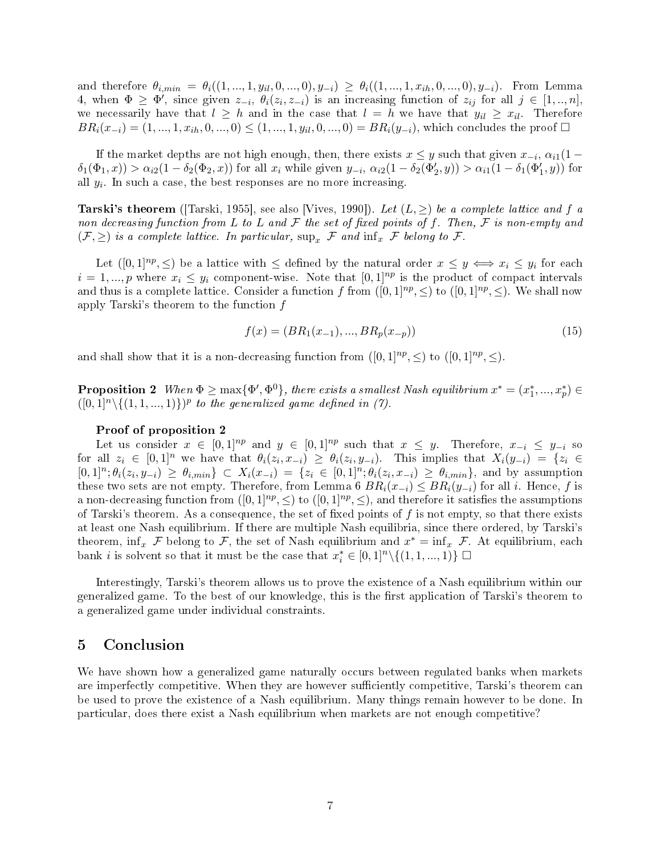and therefore  $\theta_{i,min} = \theta_i((1, ..., 1, y_{il}, 0, ..., 0), y_{-i}) \ge \theta_i((1, ..., 1, x_{ih}, 0, ..., 0), y_{-i})$ . From Lemma 4, when  $\Phi \geq \Phi'$ , since given  $z_{-i}$ ,  $\theta_i(z_i, z_{-i})$  is an increasing function of  $z_{ij}$  for all  $j \in [1, ..., n],$ we necessarily have that  $l \geq h$  and in the case that  $l = h$  we have that  $y_{il} \geq x_{il}$ . Therefore  $BR_i(x_{-i}) = (1, ..., 1, x_{ih}, 0, ..., 0) \le (1, ..., 1, y_{il}, 0, ..., 0) = BR_i(y_{-i})$ , which concludes the proof  $\Box$ 

If the market depths are not high enough, then, there exists  $x \leq y$  such that given  $x_{-i},$   $\alpha_{i1}(1-t)$  $\delta_1(\Phi_1, x)$  >  $\alpha_{i2}(1 - \delta_2(\Phi_2, x))$  for all  $x_i$  while given  $y_{-i}$ ,  $\alpha_{i2}(1 - \delta_2(\Phi'_2, y)) > \alpha_{i1}(1 - \delta_1(\Phi'_1, y))$  for all  $y_i$ . In such a case, the best responses are no more increasing.

**Tarski's theorem** ([Tarski, 1955], see also [Vives, 1990]). Let  $(L, \geq)$  be a complete lattice and f a non decreasing function from L to L and F the set of fixed points of f. Then, F is non-empty and  $(\mathcal{F}, \geq)$  is a complete lattice. In particular,  $\sup_x \mathcal{F}$  and  $\inf_x \mathcal{F}$  belong to  $\mathcal{F}$ .

Let  $([0,1]^{np}, \leq)$  be a lattice with  $\leq$  defined by the natural order  $x \leq y \iff x_i \leq y_i$  for each  $i = 1, ..., p$  where  $x_i \leq y_i$  component-wise. Note that  $[0, 1]^{np}$  is the product of compact intervals and thus is a complete lattice. Consider a function f from  $([0,1]^{np}, \leq)$  to  $([0,1]^{np}, \leq)$ . We shall now apply Tarski's theorem to the function  $f$ 

$$
f(x) = (BR_1(x_{-1}), ..., BR_p(x_{-p}))
$$
\n(15)

and shall show that it is a non-decreasing function from  $([0,1]^{np}, \leq)$  to  $([0,1]^{np}, \leq)$ .

**Proposition 2** When  $\Phi \ge \max{\{\Phi', \Phi^0\}}$ , there exists a smallest Nash equilibrium  $x^* = (x_1^*, ..., x_p^*) \in$  $([0,1]^n\setminus\{(1,1,...,1)\})^p$  to the generalized game defined in (7).

#### Proof of proposition 2

Let us consider  $x \in [0,1]^{np}$  and  $y \in [0,1]^{np}$  such that  $x \leq y$ . Therefore,  $x_{-i} \leq y_{-i}$  so for all  $z_i \in [0,1]^n$  we have that  $\theta_i(z_i,x_{-i}) \geq \theta_i(z_i,y_{-i})$ . This implies that  $X_i(y_{-i}) = \{z_i \in$  $[0,1]^n; \theta_i(z_i, y_{-i}) \geq \theta_{i,min} \} \subset X_i(x_{-i}) = \{z_i \in [0,1]^n; \theta_i(z_i, x_{-i}) \geq \theta_{i,min} \}$ , and by assumption these two sets are not empty. Therefore, from Lemma 6  $BR_i(x_{-i}) \leq BR_i(y_{-i})$  for all i. Hence, f is a non-decreasing function from  $([0,1]^{np}, \leq)$  to  $([0,1]^{np}, \leq)$ , and therefore it satisfies the assumptions of Tarski's theorem. As a consequence, the set of fixed points of  $f$  is not empty, so that there exists at least one Nash equilibrium. If there are multiple Nash equilibria, since there ordered, by Tarski's theorem, inf<sub>x</sub> F belong to F, the set of Nash equilibrium and  $x^* = \inf_x$  F. At equilibrium, each bank *i* is solvent so that it must be the case that  $x_i^* \in [0,1]^n \setminus \{(1,1,...,1)\} \square$ 

Interestingly, Tarski's theorem allows us to prove the existence of a Nash equilibrium within our generalized game. To the best of our knowledge, this is the first application of Tarski's theorem to a generalized game under individual constraints.

## 5 Conclusion

We have shown how a generalized game naturally occurs between regulated banks when markets are imperfectly competitive. When they are however sufficiently competitive, Tarski's theorem can be used to prove the existence of a Nash equilibrium. Many things remain however to be done. In particular, does there exist a Nash equilibrium when markets are not enough competitive?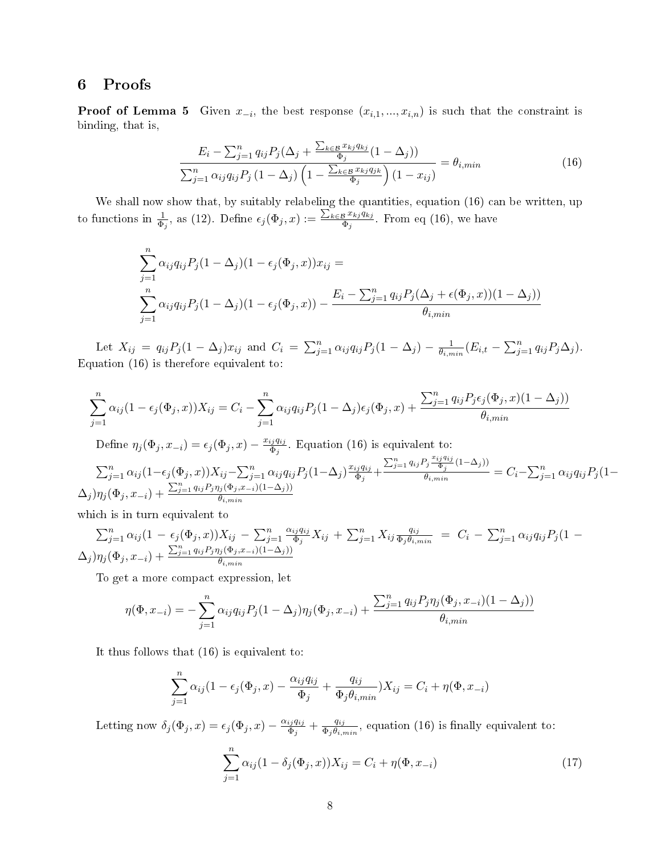# 6 Proofs

**Proof of Lemma 5** Given  $x_{-i}$ , the best response  $(x_{i,1},...,x_{i,n})$  is such that the constraint is binding, that is,

$$
\frac{E_i - \sum_{j=1}^n q_{ij} P_j (\Delta_j + \frac{\sum_{k \in \mathcal{B}} x_{kj} q_{kj}}{\Phi_j} (1 - \Delta_j))}{\sum_{j=1}^n \alpha_{ij} q_{ij} P_j (1 - \Delta_j) \left(1 - \frac{\sum_{k \in \mathcal{B}} x_{kj} q_{jk}}{\Phi_j}\right) (1 - x_{ij})} = \theta_{i, min}
$$
(16)

We shall now show that, by suitably relabeling the quantities, equation (16) can be written, up to functions in  $\frac{1}{\Phi_j}$ , as (12). Define  $\epsilon_j(\Phi_j, x) := \frac{\sum_{k \in \mathcal{B}} x_{kj} q_{kj}}{\Phi_j}$  $\frac{\mathbf{g} x_{kj} q_{kj}}{\Phi_j}$ . From eq (16), we have

$$
\sum_{j=1}^{n} \alpha_{ij} q_{ij} P_j (1 - \Delta_j) (1 - \epsilon_j(\Phi_j, x)) x_{ij} =
$$
\n
$$
\sum_{j=1}^{n} \alpha_{ij} q_{ij} P_j (1 - \Delta_j) (1 - \epsilon_j(\Phi_j, x)) - \frac{E_i - \sum_{j=1}^{n} q_{ij} P_j (\Delta_j + \epsilon(\Phi_j, x)) (1 - \Delta_j))}{\theta_{i, min}}
$$

Let  $X_{ij} = q_{ij}P_j(1-\Delta_j)x_{ij}$  and  $C_i = \sum_{j=1}^n \alpha_{ij}q_{ij}P_j(1-\Delta_j) - \frac{1}{\theta_{i,m}}$  $\frac{1}{\theta_{i,min}}(E_{i,t} - \sum_{j=1}^{n} q_{ij} P_j \Delta_j).$ Equation (16) is therefore equivalent to:

$$
\sum_{j=1}^{n} \alpha_{ij} (1 - \epsilon_j(\Phi_j, x)) X_{ij} = C_i - \sum_{j=1}^{n} \alpha_{ij} q_{ij} P_j (1 - \Delta_j) \epsilon_j(\Phi_j, x) + \frac{\sum_{j=1}^{n} q_{ij} P_j \epsilon_j(\Phi_j, x) (1 - \Delta_j)}{\theta_{i, \min}}
$$

Define  $\eta_j(\Phi_j, x_{-i}) = \epsilon_j(\Phi_j, x) - \frac{x_{ij}q_{ij}}{\Phi_j}$  $\frac{ijq_{ij}}{\Phi_j}$ . Equation (16) is equivalent to:

$$
\sum_{j=1}^{n} \alpha_{ij} (1 - \epsilon_j(\Phi_j, x)) X_{ij} - \sum_{j=1}^{n} \alpha_{ij} q_{ij} P_j (1 - \Delta_j) \frac{x_{ij} q_{ij}}{\Phi_j} + \frac{\sum_{j=1}^{n} q_{ij} P_j \frac{x_{ij} q_{ij}}{\Phi_j} (1 - \Delta_j)}{\theta_{i, min}} = C_i - \sum_{j=1}^{n} \alpha_{ij} q_{ij} P_j (1 - \Delta_j) \eta_j (\Phi_j, x_{-i}) + \frac{\sum_{j=1}^{n} q_{ij} P_j \eta_j (\Phi_j, x_{-i}) (1 - \Delta_j)}{\theta_{i, min}}
$$

which is in turn equivalent to

$$
\sum_{j=1}^{n} \alpha_{ij} (1 - \epsilon_j(\Phi_j, x)) X_{ij} - \sum_{j=1}^{n} \frac{\alpha_{ij} q_{ij}}{\Phi_j} X_{ij} + \sum_{j=1}^{n} X_{ij} \frac{q_{ij}}{\Phi_j \theta_{i,min}} = C_i - \sum_{j=1}^{n} \alpha_{ij} q_{ij} P_j (1 - \Delta_j) \eta_j(\Phi_j, x_{-i}) + \frac{\sum_{j=1}^{n} q_{ij} P_j \eta_j(\Phi_j, x_{-i})(1 - \Delta_j)}{\theta_{i,min}}
$$

To get a more compact expression, let

$$
\eta(\Phi, x_{-i}) = -\sum_{j=1}^{n} \alpha_{ij} q_{ij} P_j (1 - \Delta_j) \eta_j(\Phi_j, x_{-i}) + \frac{\sum_{j=1}^{n} q_{ij} P_j \eta_j(\Phi_j, x_{-i}) (1 - \Delta_j)}{\theta_{i, min}}
$$

It thus follows that (16) is equivalent to:

$$
\sum_{j=1}^{n} \alpha_{ij} (1 - \epsilon_j(\Phi_j, x) - \frac{\alpha_{ij} q_{ij}}{\Phi_j} + \frac{q_{ij}}{\Phi_j \theta_{i, min}}) X_{ij} = C_i + \eta(\Phi, x_{-i})
$$

Letting now  $\delta_j(\Phi_j, x) = \epsilon_j (\Phi_j, x) - \frac{\alpha_{ij} q_{ij}}{\Phi_j}$  $\frac{i j q_{ij}}{\Phi_j} + \frac{q_{ij}}{\Phi_j \theta_{i,j}}$  $\frac{q_{ij}}{\Phi_j \theta_{i,min}}$ , equation (16) is finally equivalent to:

$$
\sum_{j=1}^{n} \alpha_{ij} (1 - \delta_j(\Phi_j, x)) X_{ij} = C_i + \eta(\Phi, x_{-i})
$$
\n(17)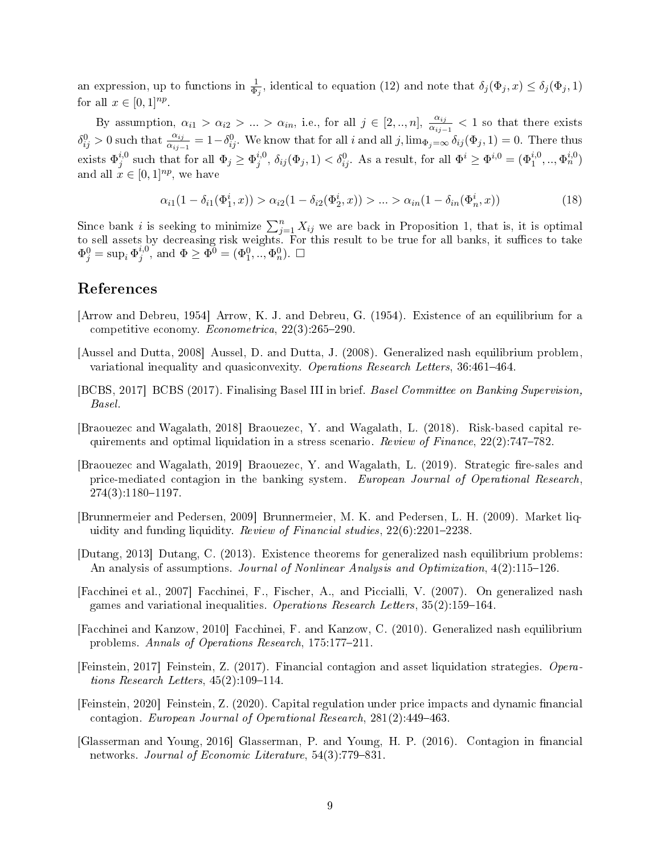an expression, up to functions in  $\frac{1}{\Phi_j}$ , identical to equation (12) and note that  $\delta_j(\Phi_j, x) \leq \delta_j(\Phi_j, 1)$ for all  $x \in [0, 1]^{np}$ .

By assumption,  $\alpha_{i1} > \alpha_{i2} > ... > \alpha_{in}$ , i.e., for all  $j \in [2, ..., n]$ ,  $\frac{\alpha_{ij}}{\alpha_{ii}}$  $\frac{\alpha_{ij}}{\alpha_{ij-1}} < 1$  so that there exists  $\delta_{ij}^0 > 0$  such that  $\frac{\alpha_{ij}}{\alpha_{ij-1}} = 1 - \delta_{ij}^0$ . We know that for all i and all j,  $\lim_{\Phi_j = \infty} \delta_{ij}(\Phi_j, 1) = 0$ . There thus exists  $\Phi_i^{i,0}$  $j_j^{i,0}$  such that for all  $\Phi_j \geq \Phi_j^{i,0}$  $j^{i,0}, \, \delta_{ij}(\Phi_j, 1) < \delta_{ij}^0$ . As a result, for all  $\Phi^i \ge \Phi^{i,0} = (\Phi_1^{i,0},.., \Phi_n^{i,0})$ and all  $x \in [0, 1]^{np}$ , we have

$$
\alpha_{i1}(1 - \delta_{i1}(\Phi_1^i, x)) > \alpha_{i2}(1 - \delta_{i2}(\Phi_2^i, x)) > \dots > \alpha_{in}(1 - \delta_{in}(\Phi_n^i, x))
$$
\n(18)

Since bank *i* is seeking to minimize  $\sum_{j=1}^{n} X_{ij}$  we are back in Proposition 1, that is, it is optimal to sell assets by decreasing risk weights. For this result to be true for all banks, it suffices to take  $\Phi_j^0 = \sup_i \Phi_j^{i,0}$  $\Phi_j^{i,0}$ , and  $\Phi \geq \Phi^{\bar{0}} = (\Phi_1^0, ..., \Phi_n^0)$ .  $\Box$ 

## References

- [Arrow and Debreu, 1954] Arrow, K. J. and Debreu, G. (1954). Existence of an equilibrium for a competitive economy. Econometrica,  $22(3):265-290$ .
- [Aussel and Dutta, 2008] Aussel, D. and Dutta, J. (2008). Generalized nash equilibrium problem, variational inequality and quasiconvexity. Operations Research Letters,  $36:461-464$ .
- [BCBS, 2017] BCBS (2017). Finalising Basel III in brief. Basel Committee on Banking Supervision, Basel.
- [Braouezec and Wagalath, 2018] Braouezec, Y. and Wagalath, L. (2018). Risk-based capital requirements and optimal liquidation in a stress scenario. Review of Finance,  $22(2)$ :747-782.
- [Braouezec and Wagalath, 2019] Braouezec, Y. and Wagalath, L. (2019). Strategic fire-sales and price-mediated contagion in the banking system. European Journal of Operational Research,  $274(3)$ :1180-1197.
- [Brunnermeier and Pedersen, 2009] Brunnermeier, M. K. and Pedersen, L. H. (2009). Market liquidity and funding liquidity. Review of Financial studies,  $22(6)$ : $2201-2238$ .
- [Dutang, 2013] Dutang, C. (2013). Existence theorems for generalized nash equilibrium problems: An analysis of assumptions. Journal of Nonlinear Analysis and Optimization,  $4(2):115-126$ .
- [Facchinei et al., 2007] Facchinei, F., Fischer, A., and Piccialli, V. (2007). On generalized nash games and variational inequalities. Operations Research Letters,  $35(2):159-164$ .
- [Facchinei and Kanzow, 2010] Facchinei, F. and Kanzow, C. (2010). Generalized nash equilibrium problems. Annals of Operations Research, 175:177-211.
- [Feinstein, 2017] Feinstein, Z. (2017). Financial contagion and asset liquidation strategies. Operations Research Letters,  $45(2):109-114$ .
- [Feinstein, 2020] Feinstein, Z. (2020). Capital regulation under price impacts and dynamic financial contagion. European Journal of Operational Research, 281(2):449-463.
- [Glasserman and Young, 2016] Glasserman, P. and Young, H. P. (2016). Contagion in financial networks. Journal of Economic Literature,  $54(3)$ :779-831.